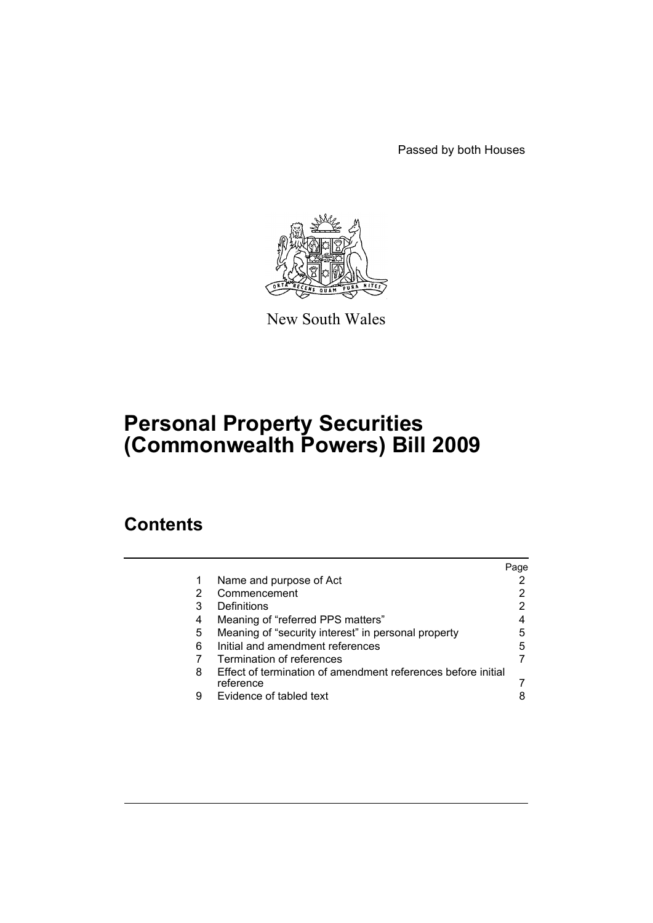Passed by both Houses



New South Wales

# **Personal Property Securities (Commonwealth Powers) Bill 2009**

# **Contents**

|   |                                                                           | Page |
|---|---------------------------------------------------------------------------|------|
| 1 | Name and purpose of Act                                                   |      |
| 2 | Commencement                                                              | 2    |
| 3 | Definitions                                                               | 2    |
| 4 | Meaning of "referred PPS matters"                                         |      |
| 5 | Meaning of "security interest" in personal property                       | 5    |
| 6 | Initial and amendment references                                          | 5    |
| 7 | Termination of references                                                 |      |
| 8 | Effect of termination of amendment references before initial<br>reference |      |
| 9 | Evidence of tabled text                                                   |      |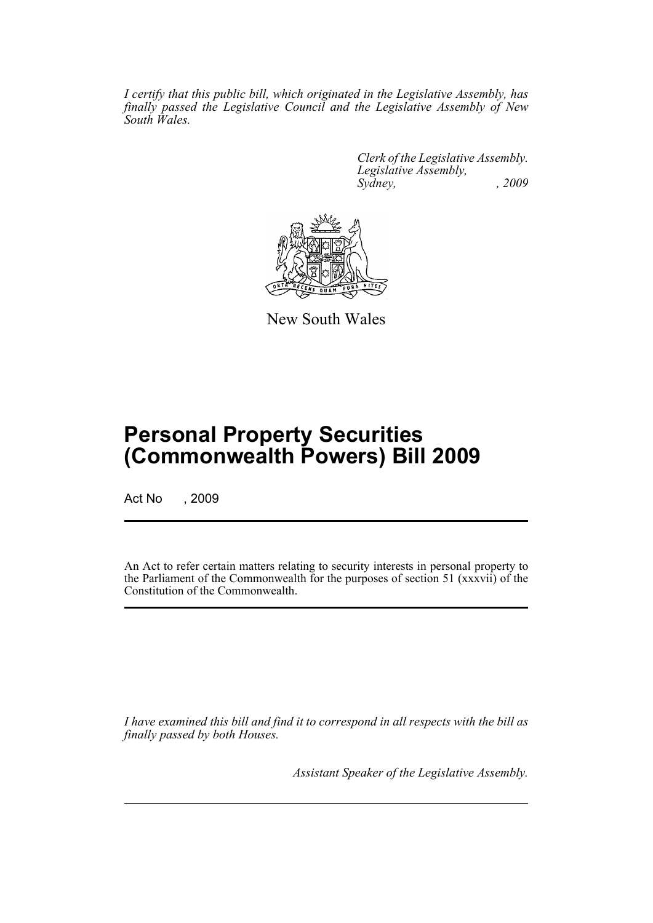*I certify that this public bill, which originated in the Legislative Assembly, has finally passed the Legislative Council and the Legislative Assembly of New South Wales.*

> *Clerk of the Legislative Assembly. Legislative Assembly, Sydney, , 2009*



New South Wales

# **Personal Property Securities (Commonwealth Powers) Bill 2009**

Act No , 2009

An Act to refer certain matters relating to security interests in personal property to the Parliament of the Commonwealth for the purposes of section 51 (xxxvii) of the Constitution of the Commonwealth.

*I have examined this bill and find it to correspond in all respects with the bill as finally passed by both Houses.*

*Assistant Speaker of the Legislative Assembly.*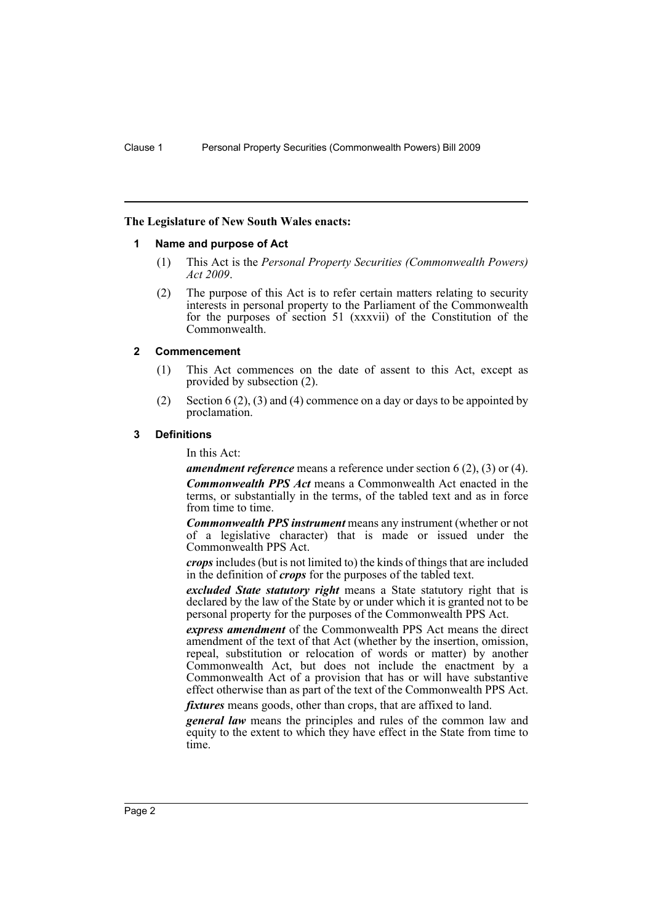#### <span id="page-3-0"></span>**The Legislature of New South Wales enacts:**

#### **1 Name and purpose of Act**

- (1) This Act is the *Personal Property Securities (Commonwealth Powers) Act 2009*.
- (2) The purpose of this Act is to refer certain matters relating to security interests in personal property to the Parliament of the Commonwealth for the purposes of section 51 (xxxvii) of the Constitution of the Commonwealth.

#### <span id="page-3-1"></span>**2 Commencement**

- (1) This Act commences on the date of assent to this Act, except as provided by subsection (2).
- (2) Section  $6(2)$ ,  $(3)$  and  $(4)$  commence on a day or days to be appointed by proclamation.

#### <span id="page-3-2"></span>**3 Definitions**

In this Act:

*amendment reference* means a reference under section 6 (2), (3) or (4). *Commonwealth PPS Act* means a Commonwealth Act enacted in the terms, or substantially in the terms, of the tabled text and as in force from time to time.

*Commonwealth PPS instrument* means any instrument (whether or not of a legislative character) that is made or issued under the Commonwealth PPS Act.

*crops* includes (but is not limited to) the kinds of things that are included in the definition of *crops* for the purposes of the tabled text.

*excluded State statutory right* means a State statutory right that is declared by the law of the State by or under which it is granted not to be personal property for the purposes of the Commonwealth PPS Act.

*express amendment* of the Commonwealth PPS Act means the direct amendment of the text of that Act (whether by the insertion, omission, repeal, substitution or relocation of words or matter) by another Commonwealth Act, but does not include the enactment by a Commonwealth Act of a provision that has or will have substantive effect otherwise than as part of the text of the Commonwealth PPS Act.

*fixtures* means goods, other than crops, that are affixed to land.

*general law* means the principles and rules of the common law and equity to the extent to which they have effect in the State from time to time.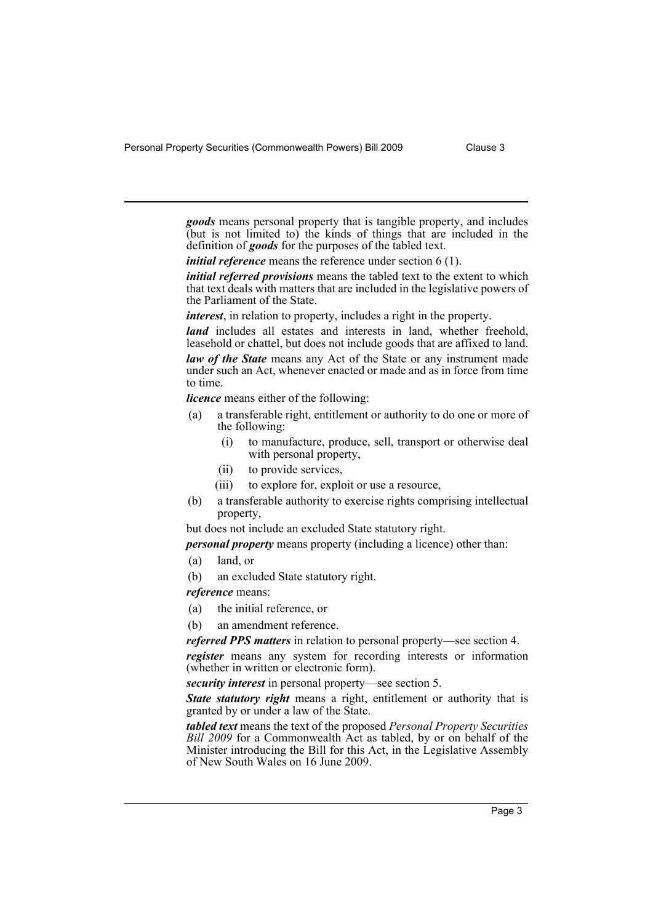Personal Property Securities (Commonwealth Powers) Bill 2009 Clause 3

*goods* means personal property that is tangible property, and includes (but is not limited to) the kinds of things that are included in the definition of *goods* for the purposes of the tabled text.

*initial reference* means the reference under section 6 (1).

*initial referred provisions* means the tabled text to the extent to which that text deals with matters that are included in the legislative powers of the Parliament of the State.

*interest*, in relation to property, includes a right in the property.

*land* includes all estates and interests in land, whether freehold, leasehold or chattel, but does not include goods that are affixed to land. *law of the State* means any Act of the State or any instrument made under such an Act, whenever enacted or made and as in force from time to time.

*licence* means either of the following:

- (a) a transferable right, entitlement or authority to do one or more of the following:
	- (i) to manufacture, produce, sell, transport or otherwise deal with personal property,
	- (ii) to provide services,
	- (iii) to explore for, exploit or use a resource,
- (b) a transferable authority to exercise rights comprising intellectual property,

but does not include an excluded State statutory right.

*personal property* means property (including a licence) other than:

- (a) land, or
- (b) an excluded State statutory right.
- *reference* means:
- (a) the initial reference, or
- (b) an amendment reference.

*referred PPS matters* in relation to personal property—see section 4.

*register* means any system for recording interests or information (whether in written or electronic form).

*security interest* in personal property—see section 5.

*State statutory right* means a right, entitlement or authority that is granted by or under a law of the State.

*tabled text* means the text of the proposed *Personal Property Securities Bill 2009* for a Commonwealth Act as tabled, by or on behalf of the Minister introducing the Bill for this Act, in the Legislative Assembly of New South Wales on 16 June 2009.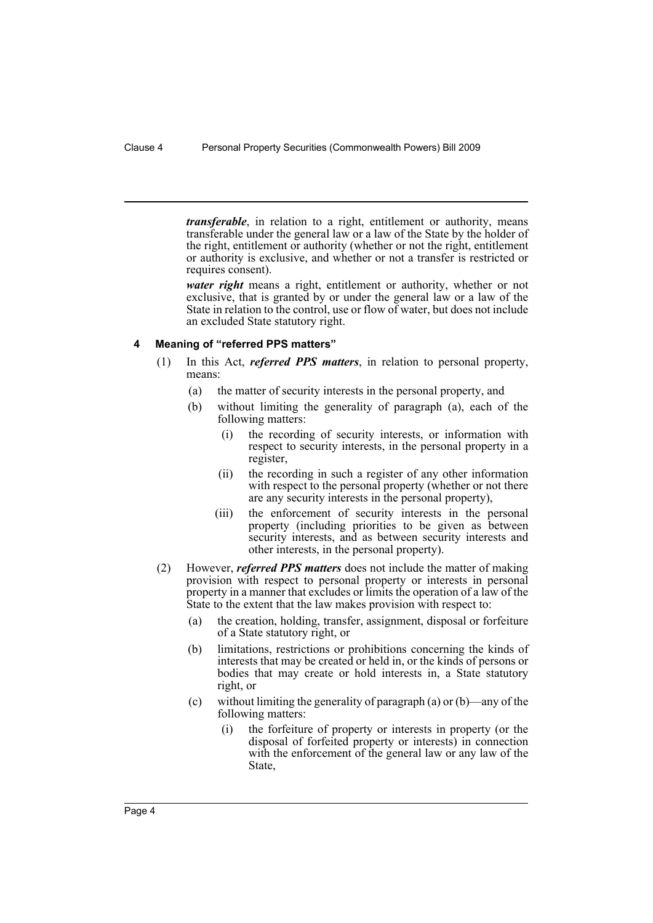*transferable*, in relation to a right, entitlement or authority, means transferable under the general law or a law of the State by the holder of the right, entitlement or authority (whether or not the right, entitlement or authority is exclusive, and whether or not a transfer is restricted or requires consent).

*water right* means a right, entitlement or authority, whether or not exclusive, that is granted by or under the general law or a law of the State in relation to the control, use or flow of water, but does not include an excluded State statutory right.

### <span id="page-5-0"></span>**4 Meaning of "referred PPS matters"**

- (1) In this Act, *referred PPS matters*, in relation to personal property, means:
	- (a) the matter of security interests in the personal property, and
	- (b) without limiting the generality of paragraph (a), each of the following matters:
		- (i) the recording of security interests, or information with respect to security interests, in the personal property in a register,
		- (ii) the recording in such a register of any other information with respect to the personal property (whether or not there are any security interests in the personal property),
		- (iii) the enforcement of security interests in the personal property (including priorities to be given as between security interests, and as between security interests and other interests, in the personal property).
- (2) However, *referred PPS matters* does not include the matter of making provision with respect to personal property or interests in personal property in a manner that excludes or limits the operation of a law of the State to the extent that the law makes provision with respect to:
	- (a) the creation, holding, transfer, assignment, disposal or forfeiture of a State statutory right, or
	- (b) limitations, restrictions or prohibitions concerning the kinds of interests that may be created or held in, or the kinds of persons or bodies that may create or hold interests in, a State statutory right, or
	- (c) without limiting the generality of paragraph (a) or (b)—any of the following matters:
		- (i) the forfeiture of property or interests in property (or the disposal of forfeited property or interests) in connection with the enforcement of the general law or any law of the State,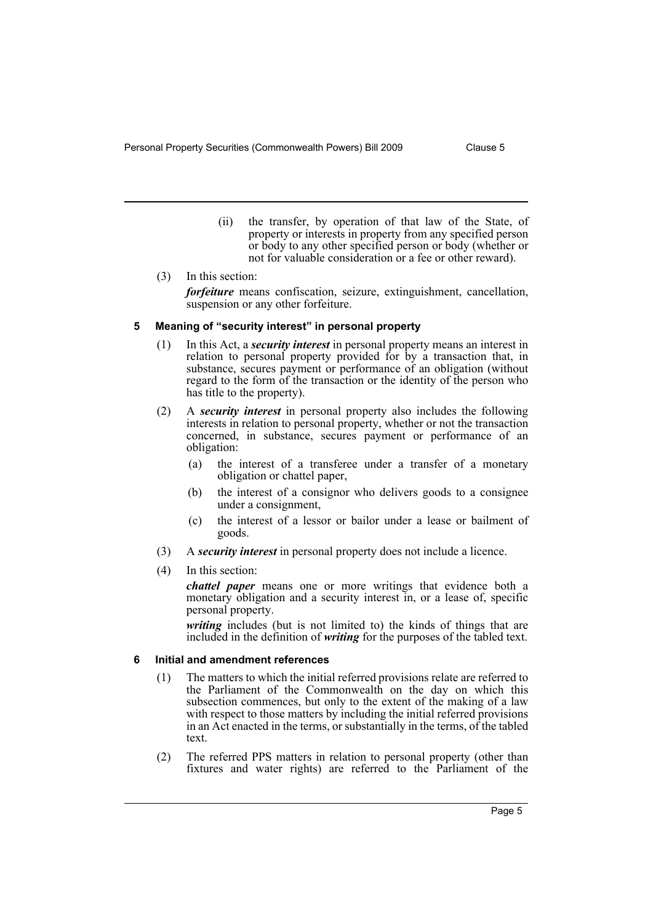- (ii) the transfer, by operation of that law of the State, of property or interests in property from any specified person or body to any other specified person or body (whether or not for valuable consideration or a fee or other reward).
- (3) In this section: *forfeiture* means confiscation, seizure, extinguishment, cancellation, suspension or any other forfeiture.

### <span id="page-6-0"></span>**5 Meaning of "security interest" in personal property**

- (1) In this Act, a *security interest* in personal property means an interest in relation to personal property provided for by a transaction that, in substance, secures payment or performance of an obligation (without regard to the form of the transaction or the identity of the person who has title to the property).
- (2) A *security interest* in personal property also includes the following interests in relation to personal property, whether or not the transaction concerned, in substance, secures payment or performance of an obligation:
	- (a) the interest of a transferee under a transfer of a monetary obligation or chattel paper,
	- (b) the interest of a consignor who delivers goods to a consignee under a consignment,
	- (c) the interest of a lessor or bailor under a lease or bailment of goods.
- (3) A *security interest* in personal property does not include a licence.
- (4) In this section:

*chattel paper* means one or more writings that evidence both a monetary obligation and a security interest in, or a lease of, specific personal property.

*writing* includes (but is not limited to) the kinds of things that are included in the definition of *writing* for the purposes of the tabled text.

## <span id="page-6-1"></span>**6 Initial and amendment references**

- (1) The matters to which the initial referred provisions relate are referred to the Parliament of the Commonwealth on the day on which this subsection commences, but only to the extent of the making of a law with respect to those matters by including the initial referred provisions in an Act enacted in the terms, or substantially in the terms, of the tabled text.
- (2) The referred PPS matters in relation to personal property (other than fixtures and water rights) are referred to the Parliament of the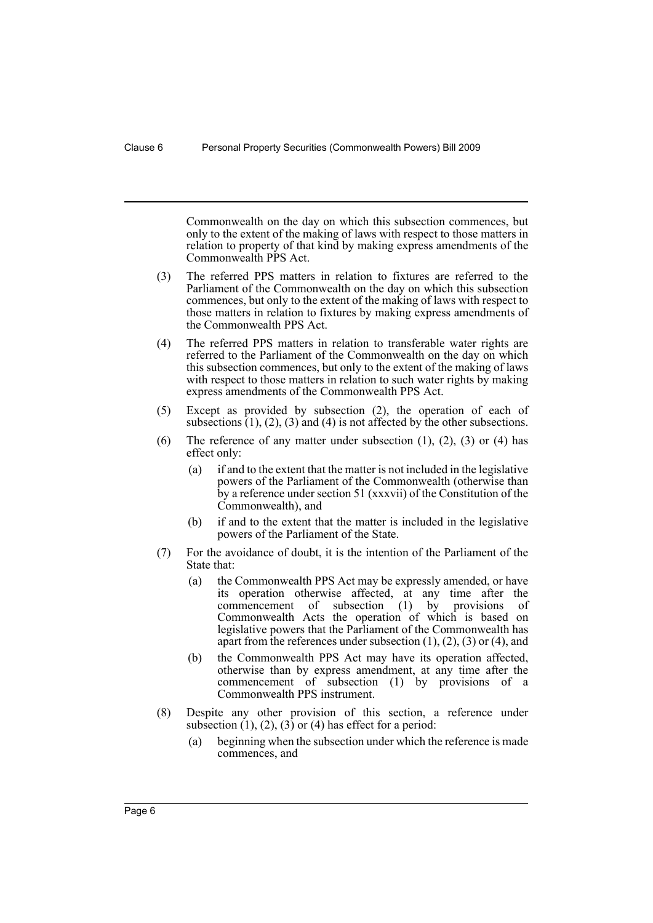Commonwealth on the day on which this subsection commences, but only to the extent of the making of laws with respect to those matters in relation to property of that kind by making express amendments of the Commonwealth PPS Act.

- (3) The referred PPS matters in relation to fixtures are referred to the Parliament of the Commonwealth on the day on which this subsection commences, but only to the extent of the making of laws with respect to those matters in relation to fixtures by making express amendments of the Commonwealth PPS Act.
- (4) The referred PPS matters in relation to transferable water rights are referred to the Parliament of the Commonwealth on the day on which this subsection commences, but only to the extent of the making of laws with respect to those matters in relation to such water rights by making express amendments of the Commonwealth PPS Act.
- (5) Except as provided by subsection (2), the operation of each of subsections  $(1)$ ,  $(2)$ ,  $(3)$  and  $(4)$  is not affected by the other subsections.
- (6) The reference of any matter under subsection  $(1)$ ,  $(2)$ ,  $(3)$  or  $(4)$  has effect only:
	- (a) if and to the extent that the matter is not included in the legislative powers of the Parliament of the Commonwealth (otherwise than by a reference under section 51 (xxxvii) of the Constitution of the Commonwealth), and
	- (b) if and to the extent that the matter is included in the legislative powers of the Parliament of the State.
- (7) For the avoidance of doubt, it is the intention of the Parliament of the State that:
	- (a) the Commonwealth PPS Act may be expressly amended, or have its operation otherwise affected, at any time after the commencement of subsection (1) by provisions of Commonwealth Acts the operation of which is based on legislative powers that the Parliament of the Commonwealth has apart from the references under subsection  $(1)$ ,  $(2)$ ,  $(3)$  or  $(4)$ , and
	- (b) the Commonwealth PPS Act may have its operation affected, otherwise than by express amendment, at any time after the commencement of subsection (1) by provisions of a Commonwealth PPS instrument.
- (8) Despite any other provision of this section, a reference under subsection  $(1)$ ,  $(2)$ ,  $(3)$  or  $(4)$  has effect for a period:
	- (a) beginning when the subsection under which the reference is made commences, and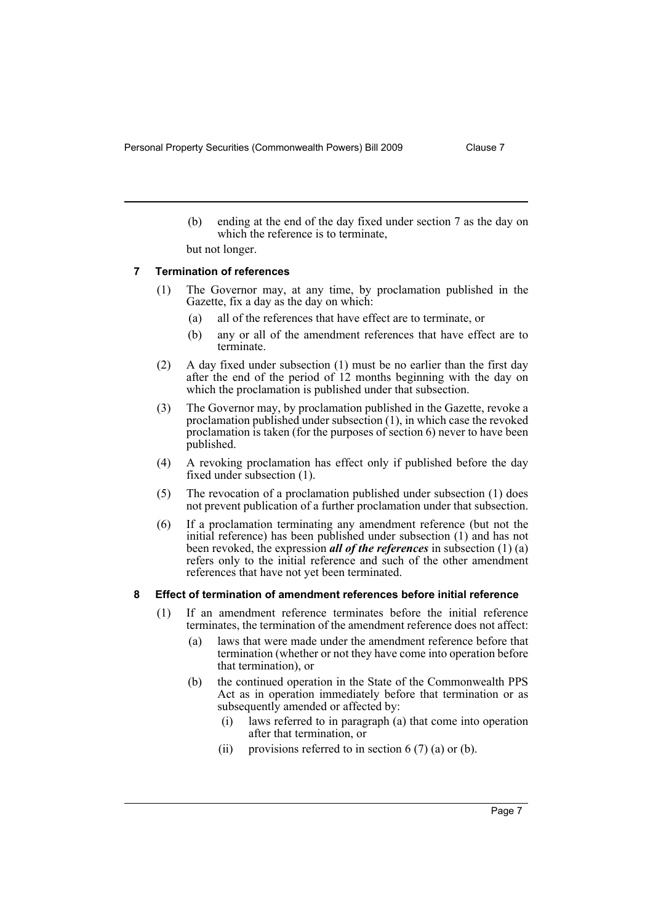(b) ending at the end of the day fixed under section 7 as the day on which the reference is to terminate,

but not longer.

#### <span id="page-8-0"></span>**7 Termination of references**

- (1) The Governor may, at any time, by proclamation published in the Gazette, fix a day as the day on which:
	- (a) all of the references that have effect are to terminate, or
	- (b) any or all of the amendment references that have effect are to terminate.
- (2) A day fixed under subsection (1) must be no earlier than the first day after the end of the period of 12 months beginning with the day on which the proclamation is published under that subsection.
- (3) The Governor may, by proclamation published in the Gazette, revoke a proclamation published under subsection (1), in which case the revoked proclamation is taken (for the purposes of section 6) never to have been published.
- (4) A revoking proclamation has effect only if published before the day fixed under subsection (1).
- (5) The revocation of a proclamation published under subsection (1) does not prevent publication of a further proclamation under that subsection.
- (6) If a proclamation terminating any amendment reference (but not the initial reference) has been published under subsection (1) and has not been revoked, the expression *all of the references* in subsection (1) (a) refers only to the initial reference and such of the other amendment references that have not yet been terminated.

### <span id="page-8-1"></span>**8 Effect of termination of amendment references before initial reference**

- (1) If an amendment reference terminates before the initial reference terminates, the termination of the amendment reference does not affect:
	- (a) laws that were made under the amendment reference before that termination (whether or not they have come into operation before that termination), or
	- (b) the continued operation in the State of the Commonwealth PPS Act as in operation immediately before that termination or as subsequently amended or affected by:
		- (i) laws referred to in paragraph (a) that come into operation after that termination, or
		- (ii) provisions referred to in section  $6(7)$  (a) or (b).